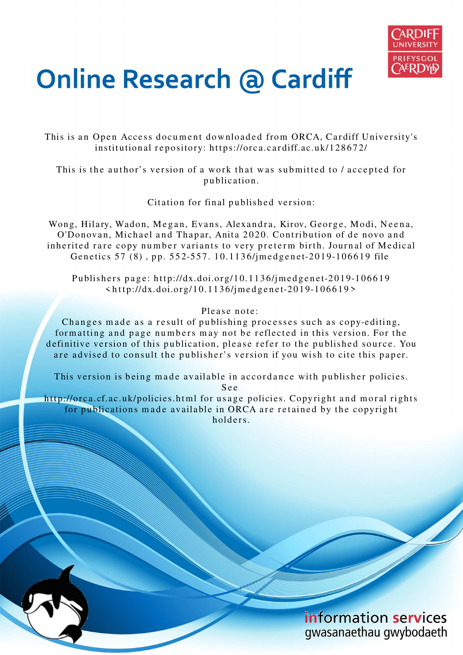

# **Online Research @ Cardiff**

This is an Open Access document downloaded from ORCA, Cardiff University's institutional repository: https://orca.cardiff.ac.uk/128672/

This is the author's version of a work that was submitted to / accepted for p u blication.

Citation for final published version:

Wong, Hilary, Wadon, Megan, Evans, Alexandra, Kirov, George, Modi, Neena, O'Donovan, Michael and Thapar, Anita 2020. Contribution of de novo and inherited rare copy number variants to very preterm birth. Journal of Medical Genetics 57 (8), pp. 552-557. 10.1136/jmedgenet-2019-106619 file

Publishers page: http://dx.doi.org/10.1136/jmedgenet-2019-106619  $\frac{\text{th}}{19}$ ://dx.doi.org/10.1136/jmedgenet-2019-106619>

#### Please note:

Changes made as a result of publishing processes such as copy-editing, formatting and page numbers may not be reflected in this version. For the definitive version of this publication, please refer to the published source. You are advised to consult the publisher's version if you wish to cite this paper.

This version is being made available in accordance with publisher policies. S e e

http://orca.cf.ac.uk/policies.html for usage policies. Copyright and moral rights for publications made available in ORCA are retained by the copyright holders



information services gwasanaethau gwybodaeth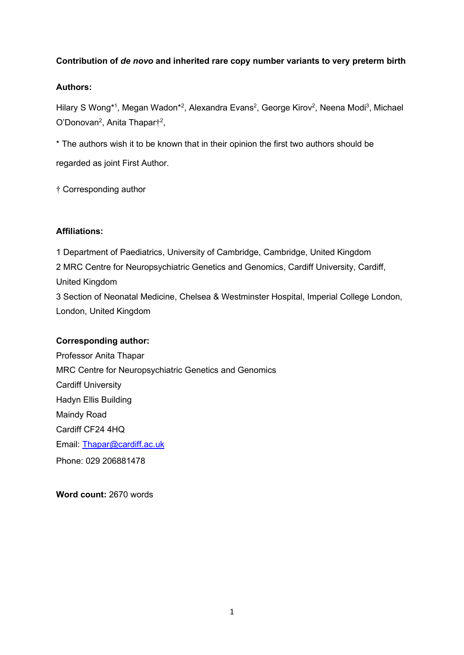### **Contribution of** *de novo* **and inherited rare copy number variants to very preterm birth**

### **Authors:**

Hilary S Wong\*1, Megan Wadon\*2, Alexandra Evans<sup>2</sup>, George Kirov<sup>2</sup>, Neena Modi<sup>3</sup>, Michael O'Donovan<sup>2</sup>, Anita Thapar†<sup>2</sup>,

\* The authors wish it to be known that in their opinion the first two authors should be regarded as joint First Author.

† Corresponding author

### **Affiliations:**

1 Department of Paediatrics, University of Cambridge, Cambridge, United Kingdom 2 MRC Centre for Neuropsychiatric Genetics and Genomics, Cardiff University, Cardiff, United Kingdom 3 Section of Neonatal Medicine, Chelsea & Westminster Hospital, Imperial College London,

## **Corresponding author:**

London, United Kingdom

Professor Anita Thapar MRC Centre for Neuropsychiatric Genetics and Genomics Cardiff University Hadyn Ellis Building Maindy Road Cardiff CF24 4HQ Email: Thapar@cardiff.ac.uk Phone: 029 206881478

**Word count:** 2670 words